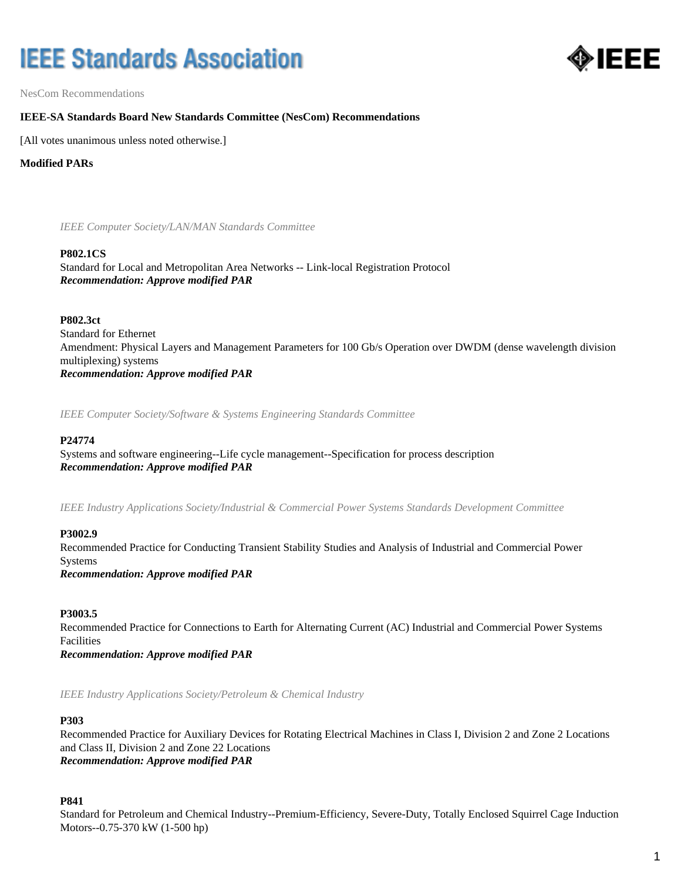# **IEEE Standards Association**



NesCom Recommendations

# **IEEE-SA Standards Board New Standards Committee (NesCom) Recommendations**

[All votes unanimous unless noted otherwise.]

# **Modified PARs**

*IEEE Computer Society/LAN/MAN Standards Committee*

#### **P802.1CS**

Standard for Local and Metropolitan Area Networks -- Link-local Registration Protocol *Recommendation: Approve modified PAR*

#### **P802.3ct**

Standard for Ethernet Amendment: Physical Layers and Management Parameters for 100 Gb/s Operation over DWDM (dense wavelength division multiplexing) systems *Recommendation: Approve modified PAR*

*IEEE Computer Society/Software & Systems Engineering Standards Committee*

## **P24774**

Systems and software engineering--Life cycle management--Specification for process description *Recommendation: Approve modified PAR*

*IEEE Industry Applications Society/Industrial & Commercial Power Systems Standards Development Committee*

# **P3002.9**

Recommended Practice for Conducting Transient Stability Studies and Analysis of Industrial and Commercial Power Systems *Recommendation: Approve modified PAR*

# **P3003.5**

Recommended Practice for Connections to Earth for Alternating Current (AC) Industrial and Commercial Power Systems Facilities *Recommendation: Approve modified PAR*

*IEEE Industry Applications Society/Petroleum & Chemical Industry*

# **P303**

Recommended Practice for Auxiliary Devices for Rotating Electrical Machines in Class I, Division 2 and Zone 2 Locations and Class II, Division 2 and Zone 22 Locations *Recommendation: Approve modified PAR*

# **P841**

Standard for Petroleum and Chemical Industry--Premium-Efficiency, Severe-Duty, Totally Enclosed Squirrel Cage Induction Motors--0.75-370 kW (1-500 hp)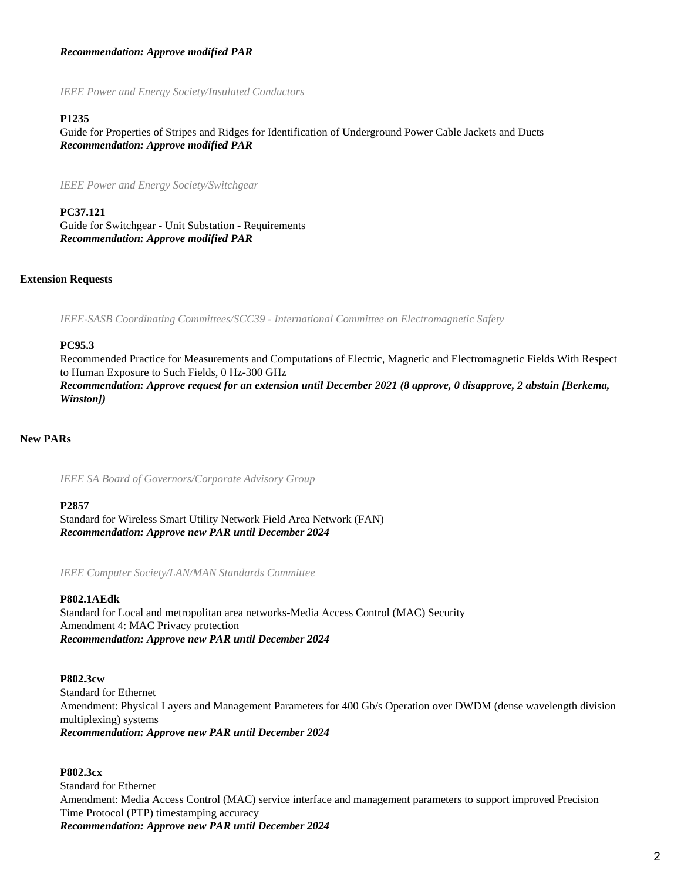# *Recommendation: Approve modified PAR*

*IEEE Power and Energy Society/Insulated Conductors*

#### **P1235**

Guide for Properties of Stripes and Ridges for Identification of Underground Power Cable Jackets and Ducts *Recommendation: Approve modified PAR*

*IEEE Power and Energy Society/Switchgear*

**PC37.121** Guide for Switchgear - Unit Substation - Requirements *Recommendation: Approve modified PAR*

#### **Extension Requests**

*IEEE-SASB Coordinating Committees/SCC39 - International Committee on Electromagnetic Safety*

#### **PC95.3**

Recommended Practice for Measurements and Computations of Electric, Magnetic and Electromagnetic Fields With Respect to Human Exposure to Such Fields, 0 Hz-300 GHz *Recommendation: Approve request for an extension until December 2021 (8 approve, 0 disapprove, 2 abstain [Berkema, Winston])*

# **New PARs**

*IEEE SA Board of Governors/Corporate Advisory Group*

#### **P2857**

Standard for Wireless Smart Utility Network Field Area Network (FAN) *Recommendation: Approve new PAR until December 2024*

*IEEE Computer Society/LAN/MAN Standards Committee*

# **P802.1AEdk**

Standard for Local and metropolitan area networks-Media Access Control (MAC) Security Amendment 4: MAC Privacy protection *Recommendation: Approve new PAR until December 2024*

#### **P802.3cw**

Standard for Ethernet Amendment: Physical Layers and Management Parameters for 400 Gb/s Operation over DWDM (dense wavelength division multiplexing) systems *Recommendation: Approve new PAR until December 2024*

#### **P802.3cx**

Standard for Ethernet Amendment: Media Access Control (MAC) service interface and management parameters to support improved Precision Time Protocol (PTP) timestamping accuracy *Recommendation: Approve new PAR until December 2024*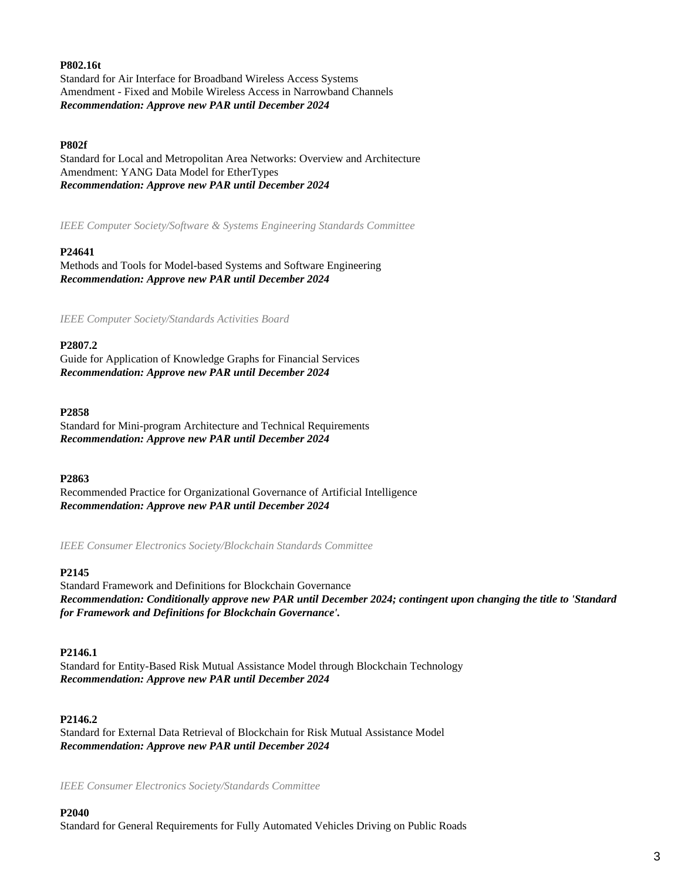## **P802.16t**

Standard for Air Interface for Broadband Wireless Access Systems Amendment - Fixed and Mobile Wireless Access in Narrowband Channels *Recommendation: Approve new PAR until December 2024*

## **P802f**

Standard for Local and Metropolitan Area Networks: Overview and Architecture Amendment: YANG Data Model for EtherTypes *Recommendation: Approve new PAR until December 2024*

*IEEE Computer Society/Software & Systems Engineering Standards Committee*

#### **P24641**

Methods and Tools for Model-based Systems and Software Engineering *Recommendation: Approve new PAR until December 2024*

*IEEE Computer Society/Standards Activities Board*

#### **P2807.2**

Guide for Application of Knowledge Graphs for Financial Services *Recommendation: Approve new PAR until December 2024*

#### **P2858**

Standard for Mini-program Architecture and Technical Requirements *Recommendation: Approve new PAR until December 2024*

**P2863**

Recommended Practice for Organizational Governance of Artificial Intelligence *Recommendation: Approve new PAR until December 2024*

*IEEE Consumer Electronics Society/Blockchain Standards Committee*

#### **P2145**

Standard Framework and Definitions for Blockchain Governance *Recommendation: Conditionally approve new PAR until December 2024; contingent upon changing the title to 'Standard for Framework and Definitions for Blockchain Governance'.*

#### **P2146.1**

Standard for Entity-Based Risk Mutual Assistance Model through Blockchain Technology *Recommendation: Approve new PAR until December 2024*

#### **P2146.2**

Standard for External Data Retrieval of Blockchain for Risk Mutual Assistance Model *Recommendation: Approve new PAR until December 2024*

*IEEE Consumer Electronics Society/Standards Committee*

#### **P2040**

Standard for General Requirements for Fully Automated Vehicles Driving on Public Roads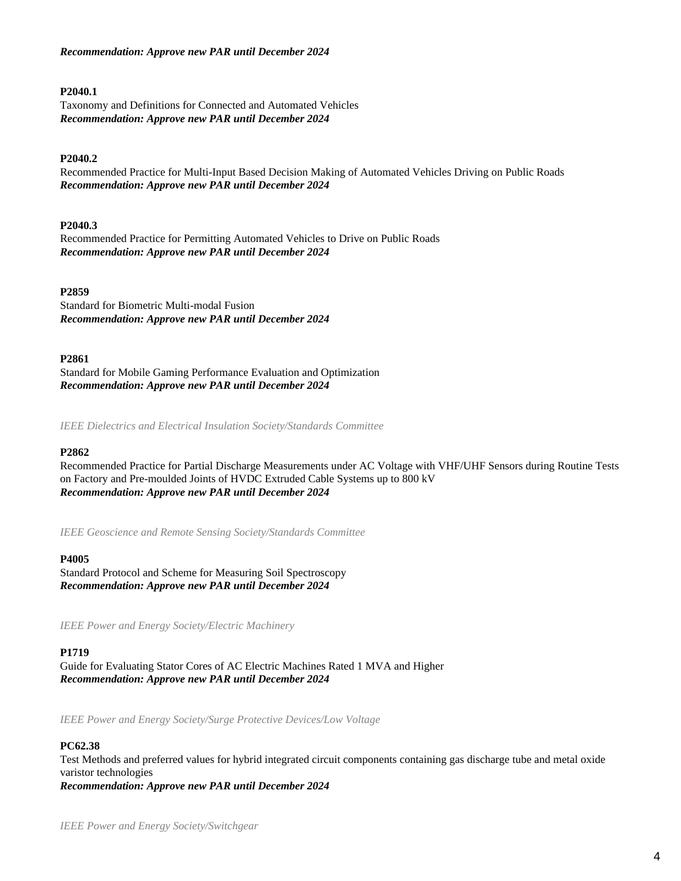# *Recommendation: Approve new PAR until December 2024*

#### **P2040.1**

Taxonomy and Definitions for Connected and Automated Vehicles *Recommendation: Approve new PAR until December 2024*

# **P2040.2**

Recommended Practice for Multi-Input Based Decision Making of Automated Vehicles Driving on Public Roads *Recommendation: Approve new PAR until December 2024*

## **P2040.3**

Recommended Practice for Permitting Automated Vehicles to Drive on Public Roads *Recommendation: Approve new PAR until December 2024*

#### **P2859**

Standard for Biometric Multi-modal Fusion *Recommendation: Approve new PAR until December 2024*

#### **P2861**

Standard for Mobile Gaming Performance Evaluation and Optimization *Recommendation: Approve new PAR until December 2024*

*IEEE Dielectrics and Electrical Insulation Society/Standards Committee*

#### **P2862**

Recommended Practice for Partial Discharge Measurements under AC Voltage with VHF/UHF Sensors during Routine Tests on Factory and Pre-moulded Joints of HVDC Extruded Cable Systems up to 800 kV *Recommendation: Approve new PAR until December 2024*

*IEEE Geoscience and Remote Sensing Society/Standards Committee*

#### **P4005**

Standard Protocol and Scheme for Measuring Soil Spectroscopy *Recommendation: Approve new PAR until December 2024*

*IEEE Power and Energy Society/Electric Machinery*

#### **P1719**

Guide for Evaluating Stator Cores of AC Electric Machines Rated 1 MVA and Higher *Recommendation: Approve new PAR until December 2024*

*IEEE Power and Energy Society/Surge Protective Devices/Low Voltage*

#### **PC62.38**

Test Methods and preferred values for hybrid integrated circuit components containing gas discharge tube and metal oxide varistor technologies *Recommendation: Approve new PAR until December 2024*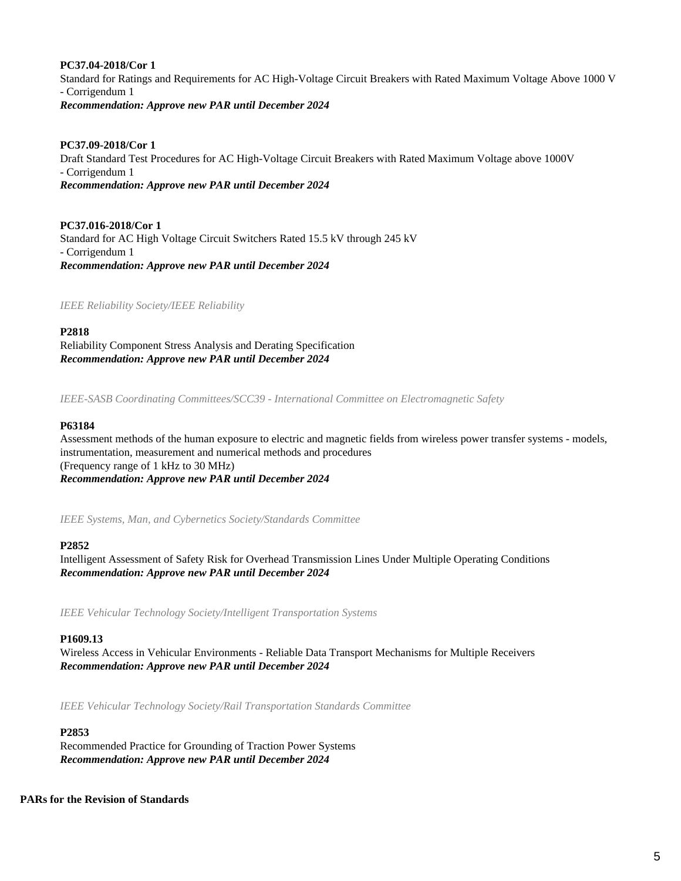## **PC37.04-2018/Cor 1**

Standard for Ratings and Requirements for AC High-Voltage Circuit Breakers with Rated Maximum Voltage Above 1000 V - Corrigendum 1 *Recommendation: Approve new PAR until December 2024*

# **PC37.09-2018/Cor 1**

Draft Standard Test Procedures for AC High-Voltage Circuit Breakers with Rated Maximum Voltage above 1000V - Corrigendum 1 *Recommendation: Approve new PAR until December 2024*

**PC37.016-2018/Cor 1** Standard for AC High Voltage Circuit Switchers Rated 15.5 kV through 245 kV - Corrigendum 1 *Recommendation: Approve new PAR until December 2024*

*IEEE Reliability Society/IEEE Reliability*

**P2818** Reliability Component Stress Analysis and Derating Specification *Recommendation: Approve new PAR until December 2024*

*IEEE-SASB Coordinating Committees/SCC39 - International Committee on Electromagnetic Safety*

## **P63184**

Assessment methods of the human exposure to electric and magnetic fields from wireless power transfer systems - models, instrumentation, measurement and numerical methods and procedures (Frequency range of 1 kHz to 30 MHz) *Recommendation: Approve new PAR until December 2024*

*IEEE Systems, Man, and Cybernetics Society/Standards Committee*

#### **P2852**

Intelligent Assessment of Safety Risk for Overhead Transmission Lines Under Multiple Operating Conditions *Recommendation: Approve new PAR until December 2024*

*IEEE Vehicular Technology Society/Intelligent Transportation Systems*

#### **P1609.13**

Wireless Access in Vehicular Environments - Reliable Data Transport Mechanisms for Multiple Receivers *Recommendation: Approve new PAR until December 2024*

*IEEE Vehicular Technology Society/Rail Transportation Standards Committee*

#### **P2853**

Recommended Practice for Grounding of Traction Power Systems *Recommendation: Approve new PAR until December 2024*

#### **PARs for the Revision of Standards**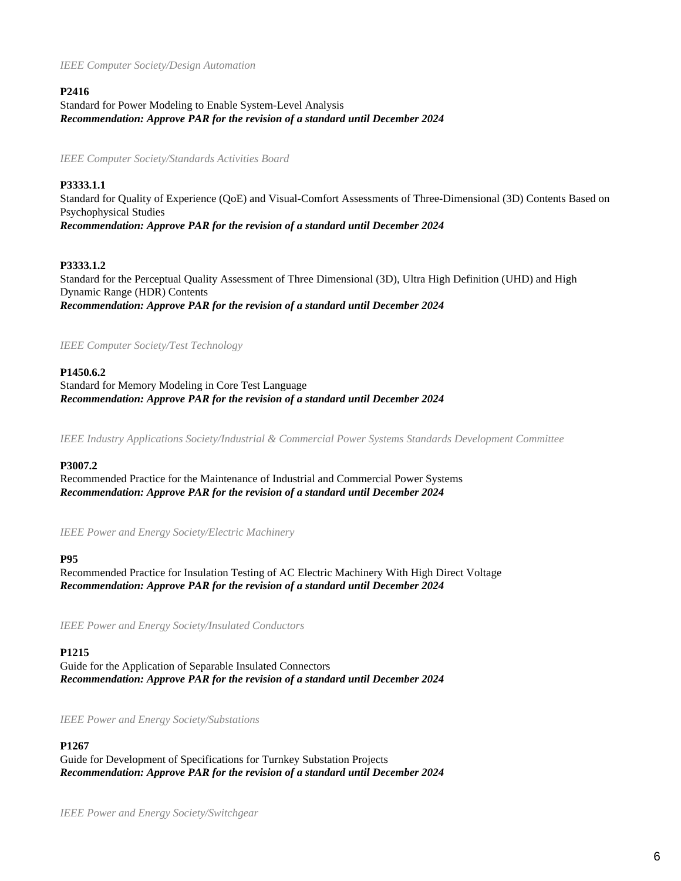*IEEE Computer Society/Design Automation*

# **P2416**

Standard for Power Modeling to Enable System-Level Analysis *Recommendation: Approve PAR for the revision of a standard until December 2024*

*IEEE Computer Society/Standards Activities Board*

# **P3333.1.1**

Standard for Quality of Experience (QoE) and Visual-Comfort Assessments of Three-Dimensional (3D) Contents Based on Psychophysical Studies *Recommendation: Approve PAR for the revision of a standard until December 2024*

# **P3333.1.2**

Standard for the Perceptual Quality Assessment of Three Dimensional (3D), Ultra High Definition (UHD) and High Dynamic Range (HDR) Contents *Recommendation: Approve PAR for the revision of a standard until December 2024*

# *IEEE Computer Society/Test Technology*

# **P1450.6.2**

Standard for Memory Modeling in Core Test Language *Recommendation: Approve PAR for the revision of a standard until December 2024*

*IEEE Industry Applications Society/Industrial & Commercial Power Systems Standards Development Committee*

# **P3007.2**

Recommended Practice for the Maintenance of Industrial and Commercial Power Systems *Recommendation: Approve PAR for the revision of a standard until December 2024*

*IEEE Power and Energy Society/Electric Machinery*

# **P95**

Recommended Practice for Insulation Testing of AC Electric Machinery With High Direct Voltage *Recommendation: Approve PAR for the revision of a standard until December 2024*

*IEEE Power and Energy Society/Insulated Conductors*

# **P1215**

Guide for the Application of Separable Insulated Connectors *Recommendation: Approve PAR for the revision of a standard until December 2024*

*IEEE Power and Energy Society/Substations*

# **P1267**

Guide for Development of Specifications for Turnkey Substation Projects *Recommendation: Approve PAR for the revision of a standard until December 2024*

*IEEE Power and Energy Society/Switchgear*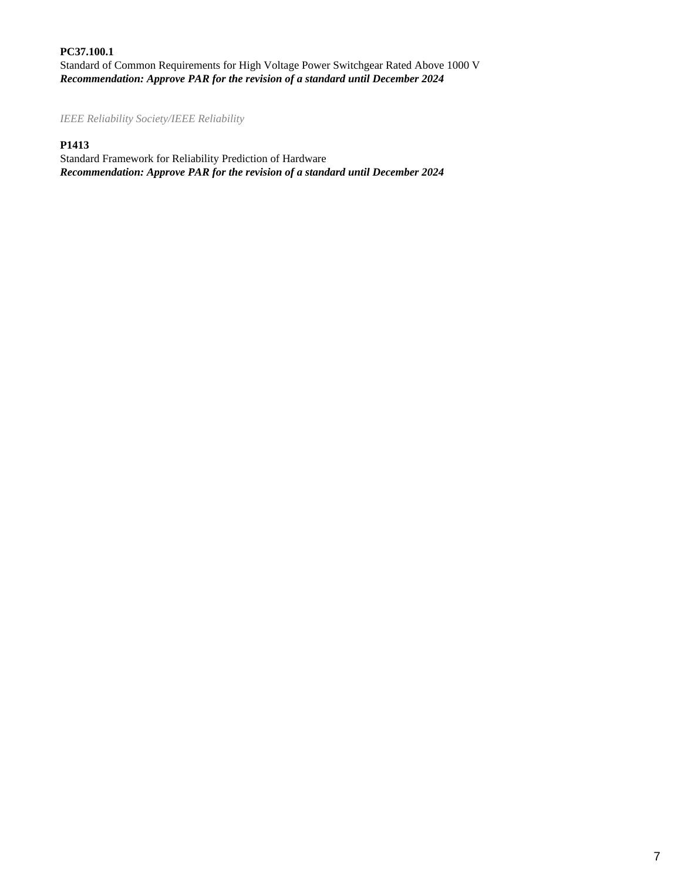**PC37.100.1** Standard of Common Requirements for High Voltage Power Switchgear Rated Above 1000 V *Recommendation: Approve PAR for the revision of a standard until December 2024*

*IEEE Reliability Society/IEEE Reliability*

# **P1413**

Standard Framework for Reliability Prediction of Hardware *Recommendation: Approve PAR for the revision of a standard until December 2024*